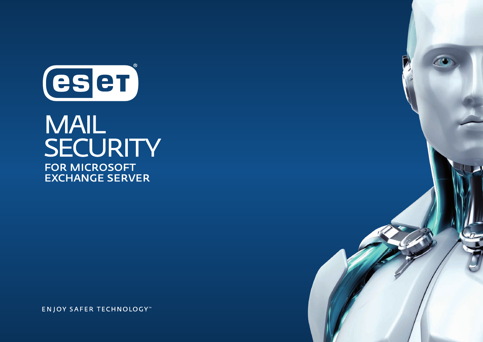

# **MAIL** SECURITY **FOR MICROSOFT EXCHANGE SERVER**

**ENJOY SAFER TECHNOLOGY**